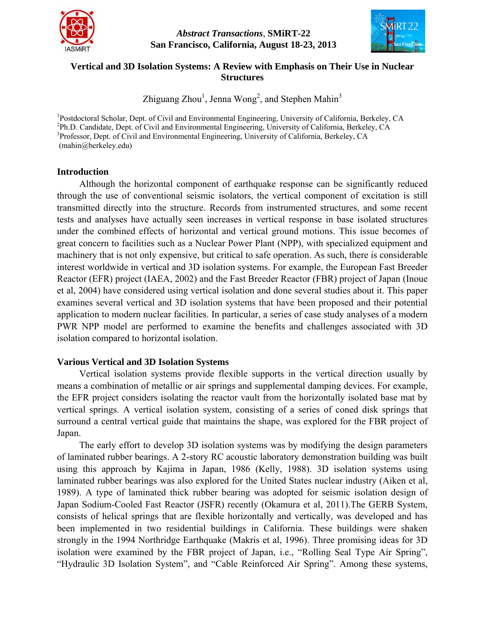

*Abstract Transactions*, **SMiRT-22 San Francisco, California, August 18-23, 2013**



# **Vertical and 3D Isolation Systems: A Review with Emphasis on Their Use in Nuclear Structures**

Zhiguang Zhou<sup>1</sup>, Jenna Wong<sup>2</sup>, and Stephen Mahin<sup>3</sup>

<sup>1</sup>Postdoctoral Scholar, Dept. of Civil and Environmental Engineering, University of California, Berkeley, CA <sup>2</sup>Ph.D. Candidate, Dept. of Civil and Environmental Engineering, University of California, Berkeley, CA <sup>3</sup>Professor, Dept. of Civil and Environmental Engineering, University of California, Berkeley, CA (mahin@berkeley.edu)

### **Introduction**

Although the horizontal component of earthquake response can be significantly reduced through the use of conventional seismic isolators, the vertical component of excitation is still transmitted directly into the structure. Records from instrumented structures, and some recent tests and analyses have actually seen increases in vertical response in base isolated structures under the combined effects of horizontal and vertical ground motions. This issue becomes of great concern to facilities such as a Nuclear Power Plant (NPP), with specialized equipment and machinery that is not only expensive, but critical to safe operation. As such, there is considerable interest worldwide in vertical and 3D isolation systems. For example, the European Fast Breeder Reactor (EFR) project (IAEA, 2002) and the Fast Breeder Reactor (FBR) project of Japan (Inoue et al, 2004) have considered using vertical isolation and done several studies about it. This paper examines several vertical and 3D isolation systems that have been proposed and their potential application to modern nuclear facilities. In particular, a series of case study analyses of a modern PWR NPP model are performed to examine the benefits and challenges associated with 3D isolation compared to horizontal isolation.

## **Various Vertical and 3D Isolation Systems**

Vertical isolation systems provide flexible supports in the vertical direction usually by means a combination of metallic or air springs and supplemental damping devices. For example, the EFR project considers isolating the reactor vault from the horizontally isolated base mat by vertical springs. A vertical isolation system, consisting of a series of coned disk springs that surround a central vertical guide that maintains the shape, was explored for the FBR project of Japan.

The early effort to develop 3D isolation systems was by modifying the design parameters of laminated rubber bearings. A 2-story RC acoustic laboratory demonstration building was built using this approach by Kajima in Japan, 1986 (Kelly, 1988). 3D isolation systems using laminated rubber bearings was also explored for the United States nuclear industry (Aiken et al, 1989). A type of laminated thick rubber bearing was adopted for seismic isolation design of Japan Sodium-Cooled Fast Reactor (JSFR) recently (Okamura et al, 2011).The GERB System, consists of helical springs that are flexible horizontally and vertically, was developed and has been implemented in two residential buildings in California. These buildings were shaken strongly in the 1994 Northridge Earthquake (Makris et al, 1996). Three promising ideas for 3D isolation were examined by the FBR project of Japan, i.e., "Rolling Seal Type Air Spring", "Hydraulic 3D Isolation System", and "Cable Reinforced Air Spring". Among these systems,